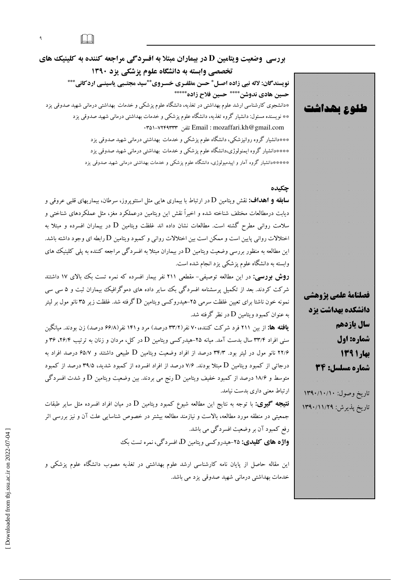$\Box$ 

 $\mathfrak{q}^-$ 

**بررسی وضعیت ویتامین D در بیماران مبتلا به افسردگی مراجعه کننده به کلینیک های** تخصصی وابسته به دانشگاه علوم یزشکی یزد ۱۳۹۰ نویسندگان: لاله نبی زاده اصـل \* حسن مظفـری خسـروی \*\*سید مجتـبی یاسینـی اردکانی \*\*\* حسين هادي ندوشن\*\*\*\* حسين فلاح زاده\*\*\*\*\* \*دانشجوی کارشناسی ارشد علوم بهداشتی در تغذیه، دانشگاه علوم پزشکی و خدمات بهداشتی درمانی شهید صدوقی یزد \*\* نویسنده مسئول: دانشیار گروه تغذیه، دانشگاه علوم پزشکی و خدمات بهداشتی درمانی شهید صدوقی یزد · Email : mozaffari.kh@gmail.com تلفن -v۲۴۹۳۳۳ لغان \*\*\*دانشیار گروه روانپزشکی، دانشگاه علوم پزشکی و خدمات بهداشتی درمانی شهید صدوقی یزد \*\*\*\*دانشیار گروه ایمنولوژی،دانشگاه علوم پزشکی و خدمات بهداشتی درمانی شهید صدوقی یزد

\*\*\*\*\*دانشیار گروه آمار و اییدمیولوژی، دانشگاه علوم پزشک<sub>ی</sub> و خدمات بهداشت<sub>ی</sub> درمانی شهید صدوقی یزد

چکیده

**سابقه و اهداف:** نقش ويتامين D در ارتباط با بيمارى هايي مثل استئوپروز، سرطان، بيماريهاى قلبي عروقي و دیابت درمطالعات مختلف شناخته شده و اخیراً نقش این ویتامین درعملکرد مغز، مثل عملکردهای شناختی و سلامت روانی مطرح گشته است. مطالعات نشان داده اند غلظت ویتامین D در بیماران افسرده و مبتلا به اختلالات روانی پایین است و ممکن است بین اختلالات روانی و کمبود ویتامین D رابطه ای وجود داشته باشد. این مطالعه به منظور بررسی وضعیت ویتامین D در بیماران مبتلا به افسردگی مراجعه کننده به پلی کلینیک های وابسته به دانشگاه علوم پزشکمی یزد انجام شده است.

**روش بررسی:** در این مطالعه توصیفی- مقطعی ۲۱۱ نفر بیمار افسرده که نمره تست بک بالای ۱۷ داشتند شرکت کردند. بعد از تکمیل پرسشنامه افسردگی بک سایر داده های دموگرافیک بیماران ثبت و ۵ سی سی نمونه خون ناشتا برای تعیین غلظت سرمی ۲۵–هیدروکسی ویتامین D گرفته شد. غلظت زیر ۳۵ نانو مول بر لیتر به عنوان کمبود ویتامین  ${\rm D}$  در نظر گرفته شد.

**یافته ها:** از بین ۲۱۱ فرد شرکت کننده، ۷۰ نفر(۳۳/۲ درصد) مرد و ۱۴۱ نفر(۶۶/۸ درصد) زن بودند. میانگین سنبی افراد ۳۳/۴ سال بدست آمد. میانه ۲۵–هیدرکسی ویتامین D در کل، مردان و زنان به ترتیب ۲۶/۴، ۳۶ و ۲۲/۶ نانو مول در لیتر بود. ۳۴/۳ درصد از افراد وضعیت ویتامین D طبیعی داشتند و ۶۵/۷ درصد افراد به درجاتی از کمبود ویتامین D مبتلا بودند. ۷/۶ درصد از افراد افسرده از کمبود شدید، ۳۹/۵ درصد از کمبود متوسط و ۱۸/۶ درصد از کمبود خفیف ویتامین  ${\rm D}$  رنج می بردند. بین وضعیت ویتامین  ${\rm D}$  و شدت افسردگی ارتباط معنی داری بدست نیامد.

**نتیجه گیری:** با توجه به نتایج این مطالعه شیوع کمبود ویتامین D در میان افراد افسرده مثل سایر طبقات جمعیتی در منطقه مورد مطالعه، بالاست و نیازمند مطالعه بیشتر در خصوص شناسایی علت آن و نیز بررسی اثر رفع کمبود آن بر وضعیت افسردگی می باشد.

**واژه های کلیدی: ۲۵**-هیدروکسی ویتامین D، افسردگی، نمره تست یک

این مقاله حاصل از پایان نامه کارشناسی ارشد علوم بهداشتی در تغذیه مصوب دانشگاه علوم پزشکی و خدمات بهداشتی درمانی شهید صدوقی یزد می باشد.

فصلنامة علمي يزوهشي دانشگده بهداشت یزد سال ياردهم شماره: اول بهار ۱۳۹۱ شماره مسلسل: 34 ناريخ وصول: ١٣٩٠/١٠/١ ناريع بذبرش والأرار وموا

طلوع بھداشت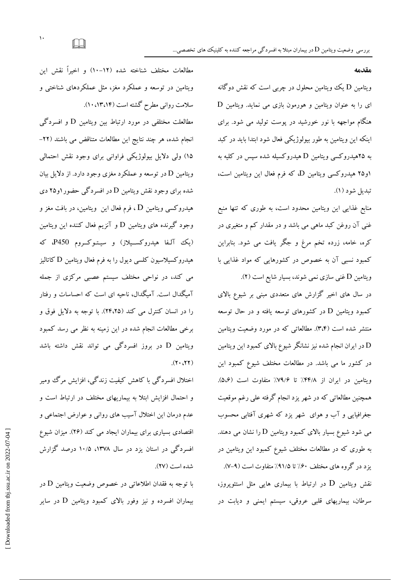ویتامین D یک ویتامین محلول در چربی است که نقش دوگانه  $D$  ای را به عنوان ویتامین و هورمون بازی می نماید. ویتامین هنگام مواجهه با نور خورشید در پوست تولید می شود. برای اینکه این ویتامین به طور بیولوژیکی فعال شود ابتدا باید در کبد به ۲۵هیدروکسی ویتامین D هیدروکسیله شده سپس در کلیه به او ۲۵ هیدروکسی ویتامین D، که فرم فعال این ویتامین است، تبديل شود (١).

مقدمه

منابع غذایی این ویتامین محدود است، به طوری که تنها منبع غنی آن روغن کبد ماهی می باشد و در مقدار کم و متغیری در کره، خامه، زرده تخم مرغ و جگر یافت می شود. بنابراین کمبود نسبی آن به خصوص در کشورهایی که مواد غذایی با ویتامین D غنبی سازی نمی شوند، بسیار شایع است (۲).

در سال های اخیر گزارش های متعددی مبنی بر شیوع بالای کمبود ویتامین D در کشورهای توسعه یافته و در حال توسعه منتشر شده است (۳،۴). مطالعاتی که در مورد وضعیت ویتامین در ایران انجام شده نیز نشانگر شیوع بالای کمبود این ویتامین  ${\rm D}$ در کشور ما می باشد. در مطالعات مختلف شیوع کمبود این ويتامين در ايران از ۴۴/۸٪ تا ۷۹/۶٪ متفاوت است (۵،۶). همچنین مطالعاتی که در شهر یزد انجام گرفته علی رغم موقعیت جغرافیایی و آب و هوای شهر یزد که شهری آفتابی محسوب می شود شیوع بسیار بالای کمبود ویتامین D را نشان می دهند. به طوری که در مطالعات مختلف شیوع کمبود این ویتامین در یزد در گروه های مختلف ۶۰٪ تا ۹۱/۵٪ متفاوت است (۹–۷). نقش ویتامین  ${\rm D}$  در ارتباط با بیماری هایی مثل استئوپروز، سرطان، بیماریهای قلبی عروقی، سیستم ایمنی و دیابت در

مطالعات مختلف شناخته شده (١٢–١٠) و اخيراً نقش اين ویتامین در توسعه و عملکرد مغز، مثل عملکردهای شناختی و سلامت روانی مطرح گشته است (۱۳،۱۴،۱۴).

مطالعلت مختلفی در مورد ارتباط بین ویتامین D و افسردگی انجام شده، هر چند نتایج این مطالعات متناقض می باشند (٢٢-۱۵) ولی دلایل بیولوژیکی فراوانی برای وجود نقش احتمالی ویتامین D در توسعه و عملکرد مغزی وجود دارد. از دلایل بیان شده برای وجود نقش ویتامین D در افسردگی حضور ۱و۲۵ دی هیدروکسی ویتامین D ، فرم فعال این ویتامین، در بافت مغز و وجود گیرنده های ویتامین D و آنزیم فعال کننده این ویتامین (یک آلفا هیدروکسیلاز) و سیتوکروم P450، که هیدروکسیلاسیون کلسی دیول را به فرم فعال ویتامین D کاتالیز می کند، در نواحی مختلف سیستم عصبی مرکزی از جمله آمیگدال است. آمیگدال، ناحیه ای است که احساسات و رفتار را در انسان كنترل مى كند (٢٤،٢۵). با توجه به دلايل فوق و برخی مطالعات انجام شده در این زمینه به نظر می رسد کمبود ویتامین D در بروز افسردگی می تواند نقش داشته باشد  $(11, 17)$ 

اختلال افسردگی با کاهش کیفیت زندگی، افزایش مرگ ومیر و احتمال افزایش ابتلا به بیماریهای مختلف در ارتباط است و عدم درمان این اختلال آسیب های روانی و عوارض اجتماعی و اقتصادی بسیاری برای بیماران ایجاد می کند (۲۶). میزان شیوع افسردگی در استان یزد در سال ۱۳۷۸، ۱۰/۵ درصد گزارش شده است (۲۷).

با توجه به فقدان اطلاعاتی در خصوص وضعیت ویتامین D در بیماران افسرده و نیز وفور بالای کمبود ویتامین D در سایر

 $\Box$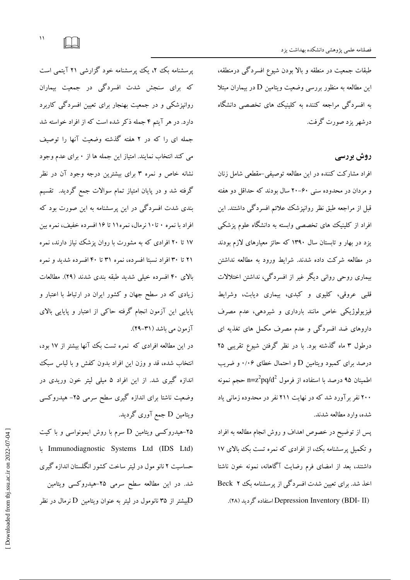طبقات جمعیت در منطقه و بالا بودن شیوع افسردگی درمنطقه، این مطالعه به منظور بررسی وضعیت ویتامین D در بیماران مبتلا به افسردگی مراجعه کننده به کلینیک های تخصصی دانشگاه درشهر یزد صورت گرفت.

## روش بررسی

افراد مشارکت کننده در این مطالعه توصیفی-مقطعی شامل زنان و مردان در محدوده سنی ۶۰–۲۰ سال بودند که حداقل دو هفته قبل از مراجعه طبق نظر روانیزشک علائم افسردگی داشتند. این افراد از کلینیک های تخصصی وابسته به دانشگاه علوم پزشکی یزد در بهار و تابستان سال ۱۳۹۰ که حائز معیارهای لازم بودند در مطالعه شرکت داده شدند. شرایط ورود به مطالعه نداشتن بیماری روحی روانی دیگر غیر از افسردگی، نداشتن اختلالات قلبی عروقی، کلیوی و کبدی، بیماری دیابت، وشرایط فیزیولوژیکی خاص مانند بارداری و شیردهی، عدم مصرف داروهای ضد افسردگی و عدم مصرف مکمل های تغذیه ای درطول ۳ ماه گذشته بود. با در نظر گرفتن شیوع تقریبی ۲۵ درصد برای کمبود ویتامین D و احتمال خطای ۱/۰۶ و ضریب اطمینان ۹۵ درصد یا استفاده از فرمول n=z $^2$ pq/d $^2$  حجم نمونه ۲۰۰ نفر بر آورد شد که در نهایت ۲۱۱ نفر در محدوده زمانی یاد شده، وارد مطالعه شدند.

پس از توضیح در خصوص اهداف و روش انجام مطالعه به افراد و تکمیل پرسشنامه بک، از افرادی که نمره تست بک بالای ۱۷ داشتند، بعد از امضای فرم رضایت آگاهانه، نمونه خون ناشتا اخذ شد. برای تعیین شدت افسردگی از پرسشنامه بک Beck ۲ (Depression Inventory (BDI- II) استفاده گردید (۲۸).

پرسشنامه بک ۲، یک پرسشنامه خود گزارشی ۲۱ آیتمی است که برای سنجش شدت افسردگی در جمعیت بیماران روانپزشکی و در جمعیت بهنجار برای تعیین افسردگی کاربرد دارد. در هر آیتم ۴ جمله ذکر شده است که از افراد خواسته شد جمله ای را که در ۲ هفته گذشته وضعیت آنها را توصیف می کند انتخاب نمایند. امتیاز این جمله ها از ۰ برای عدم وجود نشانه خاص و نمره ۳ برای بیشترین درجه وجود آن در نظر گرفته شد و در پایان امتیاز تمام سوالات جمع گردید. تقسیم بندی شدت افسردگی در این پرسشنامه به این صورت بود که افراد با نمره ۰ تا۱۰ نرمال، نمره ۱۱ تا ۱۶ افسر ده خفیف، نمره بین ۱۷ تا ۲۰ افرادی که به مشورت با روان پزشک نیاز دارند، نمره ۲۱ تا ۳۰ افراد نسبتا افسرده، نمره ۳۱ تا ۴۰ افسرده شدید و نمره بالای ۴۰ افسرده خیلی شدید طبقه بندی شدند (۲۹). مطالعات زیادی که در سطح جهان و کشور ایران در ارتباط با اعتبار و پایایی این آزمون انجام گرفته حاکی از اعتبار و پایایی بالای

در این مطالعه افرادی که نمره تست بک آنها بیشتر از ۱۷ بود، انتخاب شده، قد و وزن این افراد بدون کفش و با لباس سبک اندازه گیری شد. از این افراد ۵ میلی لیتر خون وریدی در وضعیت ناشتا برای اندازه گیری سطح سرمی ۲۵- هیدروکسی ویتامین D جمع آوری گردید.

آزمون مي باشد (٣١–٢٩).

۲۵–هیدروکسی ویتامین D سرم با روش ایمونواسی و با کیت Immunodiagnostic Systems Ltd (IDS Ltd) حساسیت ۲ نانو مول در لیتر ساخت کشور انگلستان اندازه گیری شد. در این مطالعه سطح سرمی ۲۵-هیدروکسی ویتامین بیشتر از ۳۵ نانومول در لیتر به عنوان ویتامین D نرمال در نظر ${\rm D}$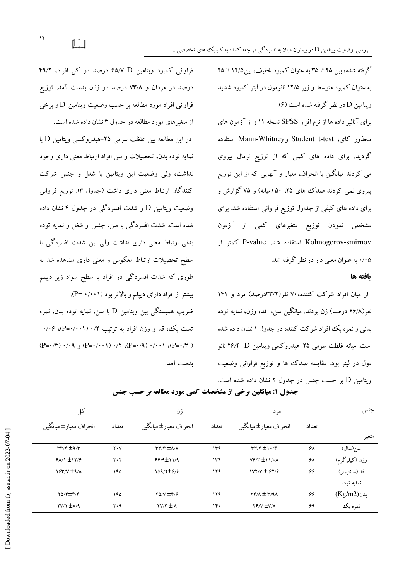گرفته شده، بین ۲۵ تا ۳۵ به عنوان کمبود خفیف، بین۱۲/۵ تا ۲۵ به عنوان کمبود متوسط و زیر ۱۲/۵ نانومول در لیتر کمبود شدید ويتامين D در نظر گرفته شده است (۶).

برای آنالیز داده ها از نرم افزار SPSS نسخه ۱۱ و از آزمون های مجذور كاي، Student t-test وMann-Whitney استفاده گردید. برای داده های کمی که از توزیع نرمال پیروی می کردند میانگین با انحراف معیار و آنهایی که از این توزیع یبروی نمبی کردند صدک های ۲۵، ۵۰ (میانه) و ۷۵ گزارش و برای داده های کیفی از جداول توزیع فراوانی استفاده شد. برای مشخص نمودن توزیع متغیرهای کمی از آزمون Kolmogorov-smirnov استفاده شد. P-value کمتر از ۰/۰۵ به عنوان معنی دار در نظر گرفته شد.

### ىافته ها

از میان افراد شرکت کننده، ۷۰ نفر(۳۳/۲درصد) مرد و ۱۴۱ نفر (۶۶/۸ درصد) زن بودند. میانگین سن، قد، وزن، نمایه توده بدنی و نمره یک افراد شرکت کننده در جدول ۱ نشان داده شده است. میانه غلظت سرمی ۲۵-هیدروکسی ویتامین P۶/۴ D نانو مول در لیتر بود. مقایسه صدک ها و توزیع فراوانی وضعیت وبتامین D بر حسب جنس در جدول ۲ نشان داده شده است.

کل جنس ز ن مرد انحراف معيار± ميانگين انحر اف معبار ± مبانگين انحراف معبار ± مبانگين تعداد تعداد تعداد متغير سن(سال)  $rrr/F \pm 9/r$  $\mathbf{y} \cdot \mathbf{y}$  $rrr$   $\pm \lambda/\nu$  $149$  $rr/r \pm 1.7r$ ۶λ وزن (کیلوگرم)  $9A/1 \pm 11/9$  $Y, Y$  $99/4 \pm 11/4$  $146$  $Vf/T \pm 11/4A$  $\mathbf{z}$ 109/7±9/9  $1YY/Y \pm 9Y/9$ قد (سانتىمتر)  $154'$   $+9'$  $190$  $119$ ۶۶ نمايه توده  $119$  $(Kg/m2)$ ىدن **YO/F±F/F** ۱۹۵ **YA/V ±F/9**  $YF/A \pm Y/9A$ ۶۶  $YY/1$   $\pm$ V/9  $Y.9$  $\mathbf{Y} \mathbf{Y} / \mathbf{Y} \pm \mathbf{A}$  $1F.$ **Y** FV/A ۶٩ نمره بک

جدول ۱: میانگین برخی از مشخصات کمی مورد مطالعه *بر* حسب جنس

ىدست آمد.

 $\Box$ 

فراوانی کمبود ویتامین P۵/V D درصد در کل افراد، ۴۹/۲

درصد در مردان و ۷۳/۸ درصد در زنان پدست آمد. توزیع

فراوانبی افراد مورد مطالعه بر حسب وضعیت ویتامین D و برخبی

در این مطالعه بین غلظت سرمی ۲۵-هیدروکسی ویتامین D با

نمایه توده بدن، تحصیلات و سن افراد ارتباط معنی داری وجود

نداشت، ولی وضعیت این ویتامین با شغل و جنس شرکت

کنندگان ارتباط معنی داری داشت (جدول ۳). توزیع فراوانی

وضعیت ویتامین D و شدت افسردگی در جدول ۴ نشان داده

شده است. شدت افسردگی با سن، جنس و شغل و نمایه توده

بدنی ارتباط معنی داری نداشت ولی بین شدت افسردگی با

سطح تحصیلات ارتباط معکوس و معنی داری مشاهده شد به

طوری که شدت افسردگی در افراد با سطح سواد زیر دیپلم

ضریب همبستگی بین ویتامین D با سن، نمایه توده بدن، نمره

تست بک، قد و وزن افراد به ترتیب ۰/۲ (۰۰۱۱-+P)، ۰/۰۶-

 $(P=\cdot/\tau)$   $\cdot/\cdot$   $\cdot$   $(P=\cdot/\cdot\cdot)$   $\cdot/\tau$   $(P=\cdot/9)$   $\cdot/\cdot\cdot$   $(P=\cdot/\tau)$ 

بیشتر از افراد دارای دیپلم و بالاتر بود (۰/۰۰۱- P=).

از متغیرهای مورد مطالعه در جدول ۳ نشان داده شده است.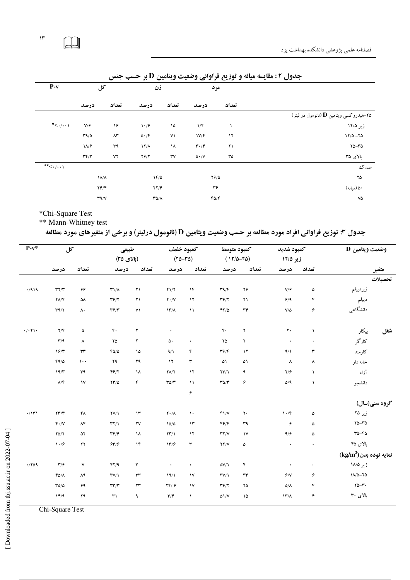| $P-v$                                                                       |                                    | کل                | زن                              |               |                               | مرد       |                                                |
|-----------------------------------------------------------------------------|------------------------------------|-------------------|---------------------------------|---------------|-------------------------------|-----------|------------------------------------------------|
|                                                                             | درصد                               | تعداد             | درصد                            | تعداد         | درصد                          | تعداد     |                                                |
|                                                                             |                                    |                   |                                 |               |                               |           | ۲۵–هیدروکسی ویتامین <b>D</b> (نانومول در لیتر) |
| $\star$ $\lt$ $\cdot$ / $\cdot$ $\star$                                     | V/F                                | ۱۶                | $\mathcal{N} \cdot \mathcal{S}$ | ۱۵            | 1/F                           |           | زیر ۱۲/۵                                       |
|                                                                             | T9/0                               | $\wedge\!\tau$    | $\Delta \cdot / \mathfrak{F}$   | ۷١            | 1V/F                          | $\gamma$  | $17/0 - 70$                                    |
|                                                                             | $1\lambda$ /۶                      | ٣٩                | $17/\lambda$                    | ١٨            | $\mathbf{r} \cdot \mathbf{r}$ | ۲۱        | $Y\Delta - Y\Delta$                            |
|                                                                             | $\mathbf{r} \mathbf{r}/\mathbf{r}$ | ٧٢                | $Y$ ۶/۲                         | $\mathsf{rv}$ | $\Delta \cdot /V$             | $r_0$     | بالای ۳۵                                       |
| $\overline{\mathbf{t}}$ $\mathbf{t}$ $\mathbf{t}$ $\mathbf{t}$ $\mathbf{t}$ |                                    |                   |                                 |               |                               |           | صدك                                            |
|                                                                             |                                    | $\lambda/\lambda$ | $1F/\Delta$                     |               |                               | $Y$ $9/0$ | ۲۵                                             |
|                                                                             |                                    | $Y$ $9$ / $Y$     | YY/9                            |               | ٣۶                            |           | ۵۰ (مبانه)                                     |
|                                                                             |                                    | $Y^q/Y$           | $T\Delta/\Lambda$               |               |                               | FO/F      | ٧۵                                             |
|                                                                             |                                    |                   |                                 |               |                               |           |                                                |

جدول ۲: مقایسه میانه و توزیع فراوانی وضعیت ویتامین D بر حسب جنس

\*Chi-Square Test

\*\* Mann-Whitney test

جدول ۳: توزیع فراوانی افراد مورد مطالعه بر حسب وضعیت ویتامین D (نانومول درلیتر) و برخی از متغیرهای مورد مطالعه

| وضعيت ويتامين D |                                  | كمبود شديد     |                                 | كمبود متوسط    |                                    | كمبود خفيف    |                             | طبیعی                  |                                    | کل             |                                      | $P-v^*$               |
|-----------------|----------------------------------|----------------|---------------------------------|----------------|------------------------------------|---------------|-----------------------------|------------------------|------------------------------------|----------------|--------------------------------------|-----------------------|
|                 |                                  |                | زیر ۱۲/۵                        |                | $(17/\Delta - 7\Delta)$            |               | $(70 - 70)$                 |                        | (بالای ۳۵)                         |                |                                      |                       |
| متغير           |                                  | تعداد          | درصد                            | تعداد          | درصد                               | تعداد         | درصد                        | تعداد                  | درصد                               | تعداد          | درصد                                 |                       |
| تحصيلات         |                                  |                |                                 |                |                                    |               |                             |                        |                                    |                |                                      |                       |
|                 | زيرديپلم                         | ۵              | V/F                             | ۲۶             | $\mathbf{r} \mathbf{q}/\mathbf{r}$ | $\lambda$ ۴   | Y1/Y                        | $\mathbf{Y}$           | $T1/\Lambda$                       | ۶۶             | $\mathbf{r} \mathbf{y} / \mathbf{r}$ | .7919                 |
|                 | ديبلم                            | ۴              | 9/9                             | $\mathbf{Y}$   | $Y^2/Y$                            | $\lambda$     | $Y \cdot / V$               | $\mathbf{y}$           | $Y$ ۶/۲                            | ۵٨             | $\mathsf{Y}\Lambda/\mathsf{F}$       |                       |
|                 | دانشگاهی                         | ۶              | $\mathsf{V}/\mathsf{d}$         | $\tau\tau$     | $\mathfrak{FT}/\Delta$             | $\mathcal{N}$ | $\mathcal{N}/\Lambda$       | $\mathsf{V}\mathsf{V}$ | $\mathbf{r}$                       | ۸۰             | $\Upsilon$                           |                       |
| شغل             | بیکار                            | $\lambda$      | $\mathbf{y}$ .                  | $\mathbf{r}$   | $\mathfrak{r}$ .                   |               | $\bullet$                   | $\mathbf{r}$           | $\mathfrak{r}$ .                   | ۵              | $\mathbf{Y}/\mathbf{F}$              | $\cdot/\cdot$ $\cdot$ |
|                 | کارگر                            | $\bullet$      | $\bullet$                       | $\mathbf{r}$   | ۲۵                                 |               | ۵۰                          | ۲                      | $Y\Delta$                          | ۸              | $\mathbf{r}/\mathbf{q}$              |                       |
|                 | كارمند                           | ٣              | 9/1                             | $\lambda$      | $\mathbf{r}$                       | ۴             | 9/1                         | $\lambda$              | FO/O                               | $\tau\tau$     | 19/7                                 |                       |
|                 | خانه دار                         | ٨              | $\lambda$                       | ۵۱             | ۵۱                                 | ٣             | $\lambda$                   | ۲۹                     | ٢٩                                 | $\cdots$       | $FA/\Delta$                          |                       |
|                 | آزاد                             | $\lambda$      | $Y/\mathcal{F}$                 | ٩              | $\mathbf{Y}\mathbf{Y}/\mathbf{Y}$  | $\lambda$     | $Y/\sqrt{Y}$                | ١٨                     | Y                                  | ٣٩             | 19/T                                 |                       |
|                 | دانشجو                           | $\lambda$      | $\Delta/\P$                     | ۶              | $r\rho/r$                          | $\lambda$     | $T\Delta/T$                 | ۴                      | $\Upsilon\Upsilon/\Delta$          | $\mathcal{N}$  | $\Lambda/\mathfrak{k}$               |                       |
|                 |                                  |                |                                 |                |                                    | ۶             |                             |                        |                                    |                |                                      |                       |
|                 | گروه سنی(سال)                    |                |                                 |                |                                    |               |                             |                        |                                    |                |                                      |                       |
|                 | زیر ۲۵                           | ۵              | $\mathcal{N} \cdot \mathcal{N}$ | $\mathbf{y}$ . | $Y\$                               | $\mathcal{N}$ | $Y \cdot / \Lambda$         | $\mathcal{N}$          | $\Upsilon V/\Upsilon$              | ۴۸             | $\mathbf{Y} \mathbf{Y} / \mathbf{Y}$ | $\cdot/\mathcal{V}$   |
|                 | $Y\Delta - Y\Delta$              | ۵              | ۶                               | ٣٩             | f                                  | $\mathcal{N}$ | 10/0                        | ۲V                     | $\mathbf{r} \mathbf{y}$            | $\Lambda$ ۴    | $F \cdot / V$                        |                       |
|                 | $40 - 60$                        | ۵              | 9/9                             | $\mathcal{N}$  | YY/Y                               | $\gamma$      | $\Upsilon\Upsilon/\Upsilon$ | ١٨                     | $\mathbf{r} \mathbf{r}/\mathbf{r}$ | ۵۲             | $Y\Delta/Y$                          |                       |
|                 | بالای ۴۵                         | $\bullet$      | $\bullet$                       | $\pmb{\Delta}$ | YY/Y                               | ٣             | 11/9                        | $\lambda$ ۴            | 94/9                               | $\gamma\gamma$ | $\mathcal{N} \cdot \mathcal{S}$      |                       |
|                 | $(\text{kg/m}^2)$ نمايه توده بدن |                |                                 |                |                                    |               |                             |                        |                                    |                |                                      |                       |
|                 | زیر ۱۸/۵                         | $\bullet$      | $\bullet$                       | ۴              | $\Delta V/\Lambda$                 | ٠             | $\bullet$                   | ٣                      | FY/9                               | ٧              | $\mathbf{r}/\mathbf{r}$              | .709                  |
|                 | $1\Lambda/\Delta - 7\Delta$      | ۶              | $\rlap / \eta / \eta$           | $\tau\tau$     | TV/1                               | $\mathsf{N}$  | 19/1                        | rr                     | TV/1                               | ۸۹             | $F\Delta/\Lambda$                    |                       |
|                 | $\Upsilon \Delta - \Upsilon$ .   | ۴              | $\Delta/\Lambda$                | ٢۵             | $Y^2/Y$                            | $\mathsf{v}$  | YF/F                        | $\mathbf{y}$           | $\mathbf{r}\mathbf{r}/\mathbf{r}$  | ۶۹             | $T\Delta/\Delta$                     |                       |
|                 | بالای ۳۰                         | $\mathfrak{r}$ | $17^{\prime}/\Lambda$           | ۱۵             | $\Delta$ 1/V                       | $\lambda$     | $\mathbf{r}/\mathbf{r}$     | ٩                      | $\mathsf{r}_1$                     | ۲۹             | 1F/9                                 |                       |

Chi-Square Test

 $\Box$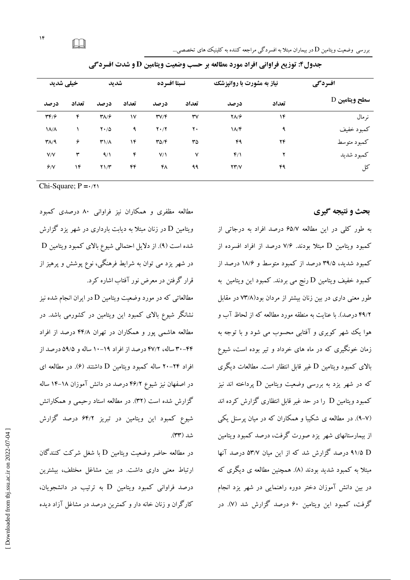| افسردگی       | نیاز به مشورت با روانپزشک |              |                        | نسبتا افسرده                         |              | شديد                         |       | خیلی شدید                          |
|---------------|---------------------------|--------------|------------------------|--------------------------------------|--------------|------------------------------|-------|------------------------------------|
| سطح ويتامين D | تعداد                     | درصد         | تعداد                  | درصد                                 | تعداد        | درصد                         | تعداد | درصد                               |
| نر مال        | ۱۴                        | $Y\Lambda/F$ | $\mathsf{r}\mathsf{v}$ | $\mathbf{r} \mathbf{v} / \mathbf{r}$ | $\mathsf{v}$ | $\mathbf{Y}\wedge\mathbf{Y}$ | ۴     | $\mathbf{r} \mathbf{r}/\mathbf{r}$ |
| كمبود خفيف    | ٩                         | $1/\sqrt{r}$ | ٢٠                     | $Y \cdot / Y$                        | ٩            | $Y \cdot / \Delta$           |       | $\lambda/\lambda$                  |
| كمبود متوسط   | ۲۴                        | ۴۹           | ٣۵                     | $T\Delta/F$                          | ۱۴           | $T1/\Lambda$                 | ۶     | $T/\sqrt{9}$                       |
| كمبود شديد    | ۲                         | $f/\lambda$  | $\checkmark$           | V/1                                  | ۴            | 9/1                          | ٣     | V/V                                |
| کل            | ۴۹                        | YY/Y         | ۹۹                     | ۴٨                                   | ۴۴           | $Y \frac{1}{T}$              | ۱۴    | 9/1                                |
|               |                           |              |                        |                                      |              |                              |       |                                    |

جدول۴: توزیع فراوانی افراد مورد مطالعه بر حسب وضعیت ویتامین D و شدت افسردگی

Chi-Square;  $P = \frac{1}{11}$ 

مطالعه مظفری و همکاران نیز فراوانی ۸۰ درصدی کمبود ویتامین D در زنان مبتلا به دیابت بارداری در شهر یزد گزارش شده است (۹). از دلایل احتمالی شیوع بالای کمبود ویتامین D در شهر یزد می توان به شرایط فرهنگی، نوع پوشش و پرهیز از قرار گرفتن در معرض نور آفتاب اشاره کرد.

مطالعاتی که در مورد وضعیت ویتامین D در ایران انجام شده نبز نشانگر شیوع بالای کمبود این ویتامین در کشورمی باشد. در مطالعه هاشمی پور و همکاران در تهران ۴۴/۸ درصد از افراد ۴۲–۳۰ ساله، ۴۷/۲ درصد از افراد ۱۹–۱۰ ساله و ۵۹/۵ درصد از افراد ۲۴–۲۰ ساله کمبود ویتامین D داشتند (۶). در مطالعه ای در اصفهان نیز شیوع ۴۶/۲ درصد در دانش آموزان ۱۸–۱۴ ساله گزارش شده است (۳۲). در مطالعه استاد رحیمی و همکارانش شیوع کمبود این ویتامین در تبریز ۶۴/۲ درصد گزارش شد (۳۳).

در مطالعه حاضر وضعیت ویتامین D با شغل شرکت کنندگان ارتباط معنی داری داشت. در بین مشاغل مختلف، بیشترین درصد فراوانی کمبود ویتامین D به ترتیب در دانشجویان، کارگران و زنان خانه دار و کمترین درصد در مشاغل آزاد دیده

# بحث و نتیجه گیری

به طور کلبی در این مطالعه ۶۵/۷ درصد افراد به درجاتی از کمبود ویتامین D میتلا بودند. ۷/۶ درصد از افراد افسرده از کمبود شدید، ۳۹/۵ درصد از کمبود متوسط و ۱۸/۶ درصد از کمبود خفیف ویتامین D رنج می بردند. کمبود این ویتامین به طور معنی داری در بین زنان بیشتر از مردان بود(۷۳/۸ در مقابل ۴۹/۲ درصد). با عنایت به منطقه مورد مطالعه که از لحاظ آب و هوا یک شهر کویری و آفتابی محسوب می شود و با توجه به زمان خونگیری که در ماه های خرداد و تیر بوده است، شیوع بالای کمبود ویتامین D غیر قابل انتظار است. مطالعات دیگری که در شهر یزد به بررسی وضعیت ویتامین D یرداخته اند نیز کمبود ویتامین D را در حد غیر قابل انتظاری گزارش کرده اند (۷–۹). در مطالعه ی شکیبا و همکاران که در میان پرسنل یکی از بیمارستانهای شهر یزد صورت گرفت، درصد کمبود ویتامین 4۱/۵ D درصد گزارش شد که از این میان ۵۳/۷ درصد آنها مبتلا به کمبود شدید بودند (۸). همچنین مطالعه ی دیگری که در بین دانش آموزان دختر دوره راهنمایی در شهر یزد انجام گرفت، کمبود این ویتامین ۶۰ درصد گزارش شد (۷). در

 $\Box$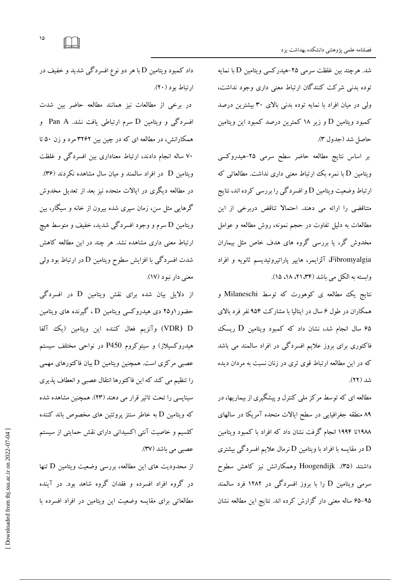شد. هرچند بین غلظت سرمی ۲۵–هیدرکسی ویتامین D با نمایه توده بدنی شرکت کنندگان ارتباط معنی داری وجود نداشت، ولی در میان افراد با نمایه توده بدنی بالای ۳۰ بیشترین درصد کمبود ویتامین D و زیر ۱۸ کمترین درصد کمبود این ویتامین حاصل شد (جدول ٣).

بر اساس نتایج مطالعه حاضر سطح سرمی ۲۵-هیدروکسی ویتامین D با نمره بک اارتباط معنی داری نداشت. مطالعاتی که ارتباط وضعیت ویتامین D و افسردگی را بررسی کرده اند، نتایج متناقضی را ارائه می دهند. احتمالا تناقض دربرخی از این مطالعات به دلیل تفاوت در حجم نمونه، روش مطالعه و عوامل مخدوش گر، یا بررسی گروه های هدف خاص مثل بیماران Fibromyalgia، آلزايمر، هايير ياراتيروئيديسم ثانويه و افراد وابسته به الكل مي باشد (٢۴، ٢١، ١٥).

نتايج يک مطالعه ي کوهورت که توسط Milaneschi و همکاران در طول ۶ سال در ایتالیا با مشارکت ۹۵۴ نفر فرد بالای ۶۵ سال انجام شد، نشان داد که کمبود ویتامین D ریسک فاکتوری برای بروز علایم افسردگی در افراد سالمند می باشد که در این مطالعه ارتباط قوی تری در زنان نسبت به مردان دیده شد (۲۲).

مطالعه ای که توسط مرکز ملی کنترل و پیشگیری از بیماریها، در ۸۹ منطقه جغرافیایی در سطح ایالات متحده آمریکا در سالهای ۱۹۸۸تا ۱۹۹۴ انجام گرفت نشان داد که افراد با کمبود ویتامین در مقایسه با افراد با ویتامین  ${\rm D}$  نرمال علایم افسردگی بیشتری  ${\rm D}$ داشتند (۳۵). Hoogendijk وهمکارانش نیز کاهش سطوح سرمی ویتامین D را با بروز افسردگی در ۱۲۸۲ فرد سالمند ۹۵–۶۵ ساله معنی دار گزارش کرده اند. نتایج این مطالعه نشان

داد کمبود ویتامین D با هر دو نوع افسردگی شدید و خفیف در ارتباط بود (٢٠).

در برخی از مطالعات نیز همانند مطالعه حاضر بین شدت افسردگی و ویتامین D سرم ارتباطی یافت نشد. Pan A و همکارانش، در مطالعه ای که در چین بین ۳۲۶۲ مرد و زن ۵۰ تا ۷۰ ساله انجام دادند، ارتباط معناداری بین افسردگی و غلظت ویتامین D در افراد سالمند و میان سال مشاهده نکردند (۳۶). در مطالعه دیگری در ایالات متحده نیز بعد از تعدیل مخدوش گرهایی مثل سن، زمان سپری شده بیرون از خانه و سیگار، بین ويتامين D سرم و وجود افسردگي شديد، خفيف و متوسط هيچ ارتباط معنی داری مشاهده نشد. هر چند در این مطالعه کاهش شدت افسردگی با افزایش سطوح ویتامین D در ارتباط بود ولی معنی دار نبود (۱۷).

از دلایل بیان شده برای نقش ویتامین D در افسردگی حضور ۱و۲۵ دی هیدروکسی ویتامین D ، گیرنده های ویتامین VDR) D) وآنزیم فعال کننده این ویتامین (یک آلفا هیدروکسیلاز) و سیتوکروم P450 در نواحی مختلف سیستم عصبی مرکزی است. همچنین ویتامین D بیان فاکتورهای مهمی را تنظیم می کند که این فاکتورها انتقال عصبی و انعطاف پذیری سیناپسی را تحت تاثیر قرار می دهند (۲۳). همچنین مشاهده شده که ویتامین D به خاطر سنتز پروتئین های مخصوص باند کننده کلسیم و خاصیت آنتی اکسیدانی دارای نقش حمایتی از سیستم عصبي مي باشد (٣٧).

از محدودیت های این مطالعه، بررسی وضعیت ویتامین D تنها در گروه افراد افسرده و فقدان گروه شاهد بود. در آینده مطالعاتی برای مقایسه وضعیت این ویتامین در افراد افسرده با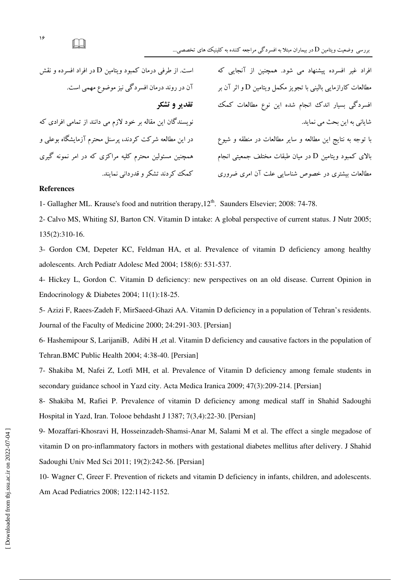| افراد غیر افسرده پیشنهاد می شود. همچنین از آنجایی که         | است. از طرفی درمان کمبود ویتامین D در افراد افسرده و نقش    |
|--------------------------------------------------------------|-------------------------------------------------------------|
| مطالعات کارازمایی بالینی با تجویز مکمل ویتامین D و اثر آن بر | آن در روند درمان افسردگی نیز موضوع مهمی است.                |
| افسردگی بسیار اندک انجام شده این نوع مطالعات کمک             | تقدیر و تشکر                                                |
| شایانی به این بحث می نماید.                                  | نویسندگان این مقاله بر خود لازم می دانند از تمامی افرادی که |
| با توجه به نتایج این مطالعه و سایر مطالعات در منطقه و شیوع   | در این مطالعه شرکت کردند، پرسنل محترم آزمایشگاه بوعلی و     |
| بالای کمبود ویتامین D در میان طبقات مختلف جمعیتی انجام       | همچنین مسئولین محترم کلیه مراکزی که در امر نمونه گیری       |
| مطالعات بیشتری در خصوص شناسایی علت آن امری ضروری             | کمک کردند تشکر و قدردانی نمایند.                            |

#### References

1- Gallagher ML. Krause's food and nutrition therapy, 12<sup>th</sup>. Saunders Elsevier; 2008: 74-78.

2- Calvo MS, Whiting SJ, Barton CN. Vitamin D intake: A global perspective of current status. J Nutr 2005; 135(2):310-16.

3- Gordon CM, Depeter KC, Feldman HA, et al. Prevalence of vitamin D deficiency among healthy adolescents. Arch Pediatr Adolesc Med 2004; 158(6): 531-537.

4- Hickey L, Gordon C. Vitamin D deficiency: new perspectives on an old disease. Current Opinion in Endocrinology & Diabetes 2004; 11(1):18-25.

5- Azizi F, Raees-Zadeh F, MirSaeed-Ghazi AA. Vitamin D deficiency in a population of Tehran's residents. Journal of the Faculty of Medicine 2000; 24:291-303. [Persian]

6- Hashemipour S, LarijaniB, Adibi H ,et al. Vitamin D deficiency and causative factors in the population of Tehran.BMC Public Health 2004; 4:38-40. [Persian]

7- Shakiba M, Nafei Z, Lotfi MH, et al. Prevalence of Vitamin D deficiency among female students in secondary guidance school in Yazd city. Acta Medica Iranica 2009; 47(3):209-214. [Persian]

8- Shakiba M, Rafiei P. Prevalence of vitamin D deficiency among medical staff in Shahid Sadoughi Hospital in Yazd, Iran. Tolooe behdasht J 1387; 7(3,4):22-30. [Persian]

9- Mozaffari-Khosravi H, Hosseinzadeh-Shamsi-Anar M, Salami M et al. The effect a single megadose of vitamin D on pro-inflammatory factors in mothers with gestational diabetes mellitus after delivery. J Shahid Sadoughi Univ Med Sci 2011; 19(2):242-56. [Persian]

10- Wagner C, Greer F. Prevention of rickets and vitamin D deficiency in infants, children, and adolescents. Am Acad Pediatrics 2008; 122:1142-1152.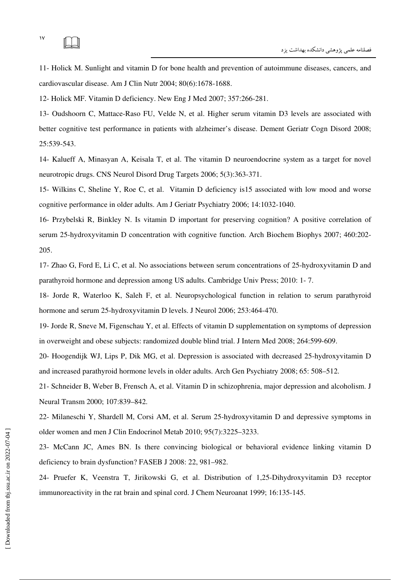11- Holick M. Sunlight and vitamin D for bone health and prevention of autoimmune diseases, cancers, and cardiovascular disease. Am J Clin Nutr 2004; 80(6):1678-1688.

12- Holick MF. Vitamin D deficiency. New Eng J Med 2007; 357:266-281.

13- Oudshoorn C, Mattace-Raso FU, Velde N, et al. Higher serum vitamin D3 levels are associated with better cognitive test performance in patients with alzheimer's disease. Dement Geriatr Cogn Disord 2008; 25:539-543.

14- Kalueff A, Minasyan A, Keisala T, et al. The vitamin D neuroendocrine system as a target for novel neurotropic drugs. CNS Neurol Disord Drug Targets 2006; 5(3):363-371.

15- Wilkins C, Sheline Y, Roe C, et al. Vitamin D deficiency is15 associated with low mood and worse cognitive performance in older adults. Am J Geriatr Psychiatry 2006; 14:1032-1040.

16- Przybelski R, Binkley N. Is vitamin D important for preserving cognition? A positive correlation of serum 25-hydroxyvitamin D concentration with cognitive function. Arch Biochem Biophys 2007; 460:202- 205.

17- Zhao G, Ford E, Li C, et al. No associations between serum concentrations of 25-hydroxyvitamin D and parathyroid hormone and depression among US adults. Cambridge Univ Press; 2010: 1- 7.

18- Jorde R, Waterloo K, Saleh F, et al. Neuropsychological function in relation to serum parathyroid hormone and serum 25-hydroxyvitamin D levels. J Neurol 2006; 253:464-470.

19- Jorde R, Sneve M, Figenschau Y, et al. Effects of vitamin D supplementation on symptoms of depression in overweight and obese subjects: randomized double blind trial. J Intern Med 2008; 264:599-609.

20- Hoogendijk WJ, Lips P, Dik MG, et al. Depression is associated with decreased 25-hydroxyvitamin D and increased parathyroid hormone levels in older adults. Arch Gen Psychiatry 2008; 65: 508–512.

21- Schneider B, Weber B, Frensch A, et al. Vitamin D in schizophrenia, major depression and alcoholism. J Neural Transm 2000; 107:839–842.

22- Milaneschi Y, Shardell M, Corsi AM, et al. Serum 25-hydroxyvitamin D and depressive symptoms in older women and men J Clin Endocrinol Metab 2010; 95(7):3225–3233.

23- McCann JC, Ames BN. Is there convincing biological or behavioral evidence linking vitamin D deficiency to brain dysfunction? FASEB J 2008: 22, 981–982.

24- Pruefer K, Veenstra T, Jirikowski G, et al. Distribution of 1,25-Dihydroxyvitamin D3 receptor immunoreactivity in the rat brain and spinal cord. J Chem Neuroanat 1999; 16:135-145.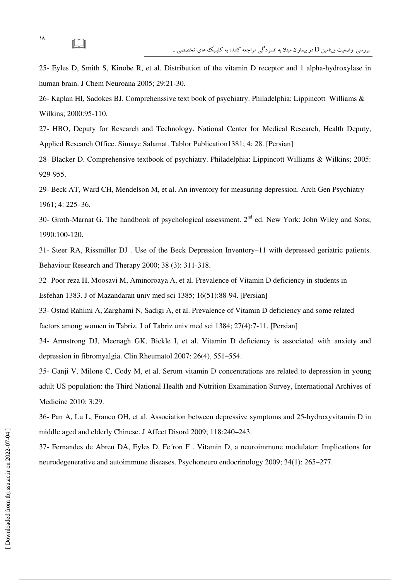25- Eyles D, Smith S, Kinobe R, et al. Distribution of the vitamin D receptor and 1 alpha-hydroxylase in human brain. J Chem Neuroana 2005; 29:21-30.

26- Kaplan HI, Sadokes BJ. Comprehenssive text book of psychiatry. Philadelphia: Lippincott Williams & Wilkins; 2000:95-110.

27- HBO, Deputy for Research and Technology. National Center for Medical Research, Health Deputy, Applied Research Office. Simaye Salamat. Tablor Publication1381; 4: 28. [Persian]

28- Blacker D. Comprehensive textbook of psychiatry. Philadelphia: Lippincott Williams & Wilkins; 2005: 929-955.

29- Beck AT, Ward CH, Mendelson M, et al. An inventory for measuring depression. Arch Gen Psychiatry 1961; 4: 225–36.

30- Groth-Marnat G. The handbook of psychological assessment.  $2<sup>nd</sup>$  ed. New York: John Wiley and Sons; 1990:100-120.

31- Steer RA, Rissmiller DJ . Use of the Beck Depression Inventory–11 with depressed geriatric patients. Behaviour Research and Therapy 2000; 38 (3): 311-318.

32- Poor reza H, Moosavi M, Aminoroaya A, et al. Prevalence of Vitamin D deficiency in students in Esfehan 1383. J of Mazandaran univ med sci 1385; 16(51):88-94. [Persian]

33- Ostad Rahimi A, Zarghami N, Sadigi A, et al. Prevalence of Vitamin D deficiency and some related factors among women in Tabriz. J of Tabriz univ med sci 1384; 27(4):7-11. [Persian]

34- Armstrong DJ, Meenagh GK, Bickle I, et al. Vitamin D deficiency is associated with anxiety and depression in fibromyalgia. Clin Rheumatol 2007; 26(4), 551–554.

35- Ganji V, Milone C, Cody M, et al. Serum vitamin D concentrations are related to depression in young adult US population: the Third National Health and Nutrition Examination Survey, International Archives of Medicine 2010; 3:29.

36- Pan A, Lu L, Franco OH, et al. Association between depressive symptoms and 25-hydroxyvitamin D in middle aged and elderly Chinese. J Affect Disord 2009; 118:240–243.

37- Fernandes de Abreu DA, Eyles D, Fe´ron F . Vitamin D, a neuroimmune modulator: Implications for neurodegenerative and autoimmune diseases. Psychoneuro endocrinology 2009; 34(1): 265–277.